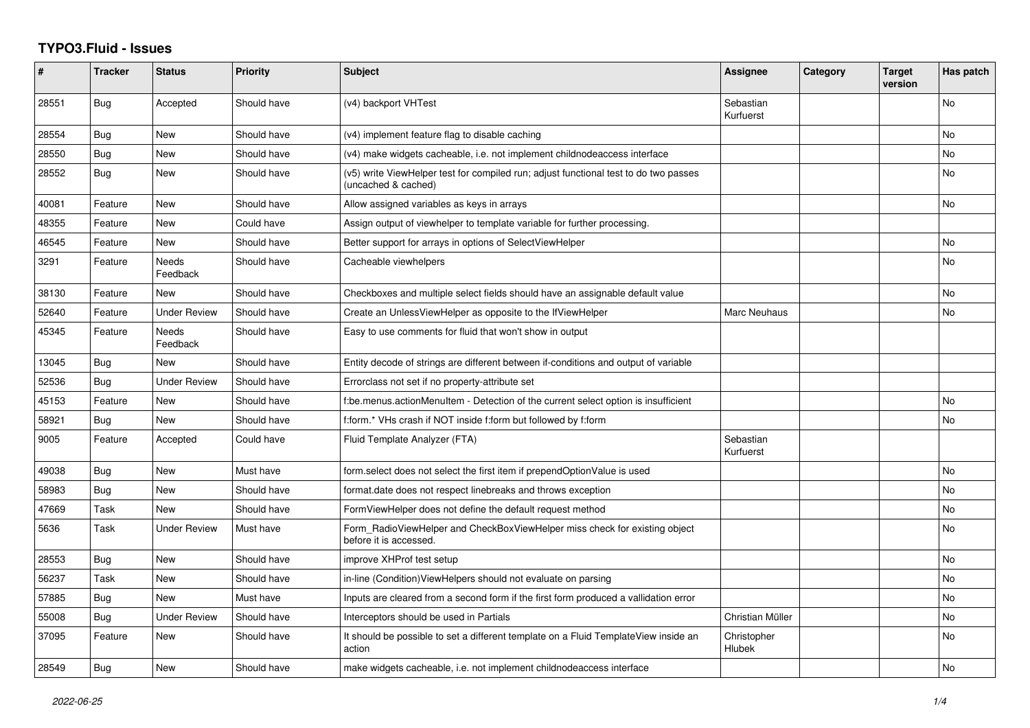## **TYPO3.Fluid - Issues**

| #     | <b>Tracker</b> | <b>Status</b>       | <b>Priority</b> | <b>Subject</b>                                                                                              | Assignee               | Category | <b>Target</b><br>version | Has patch |
|-------|----------------|---------------------|-----------------|-------------------------------------------------------------------------------------------------------------|------------------------|----------|--------------------------|-----------|
| 28551 | Bug            | Accepted            | Should have     | (v4) backport VHTest                                                                                        | Sebastian<br>Kurfuerst |          |                          | No        |
| 28554 | <b>Bug</b>     | New                 | Should have     | (v4) implement feature flag to disable caching                                                              |                        |          |                          | <b>No</b> |
| 28550 | <b>Bug</b>     | New                 | Should have     | (v4) make widgets cacheable, i.e. not implement childnodeaccess interface                                   |                        |          |                          | <b>No</b> |
| 28552 | Bug            | New                 | Should have     | (v5) write ViewHelper test for compiled run; adjust functional test to do two passes<br>(uncached & cached) |                        |          |                          | No        |
| 40081 | Feature        | New                 | Should have     | Allow assigned variables as keys in arrays                                                                  |                        |          |                          | <b>No</b> |
| 48355 | Feature        | New                 | Could have      | Assign output of viewhelper to template variable for further processing.                                    |                        |          |                          |           |
| 46545 | Feature        | New                 | Should have     | Better support for arrays in options of SelectViewHelper                                                    |                        |          |                          | No        |
| 3291  | Feature        | Needs<br>Feedback   | Should have     | Cacheable viewhelpers                                                                                       |                        |          |                          | <b>No</b> |
| 38130 | Feature        | New                 | Should have     | Checkboxes and multiple select fields should have an assignable default value                               |                        |          |                          | <b>No</b> |
| 52640 | Feature        | <b>Under Review</b> | Should have     | Create an UnlessViewHelper as opposite to the IfViewHelper                                                  | Marc Neuhaus           |          |                          | No        |
| 45345 | Feature        | Needs<br>Feedback   | Should have     | Easy to use comments for fluid that won't show in output                                                    |                        |          |                          |           |
| 13045 | Bug            | New                 | Should have     | Entity decode of strings are different between if-conditions and output of variable                         |                        |          |                          |           |
| 52536 | Bug            | <b>Under Review</b> | Should have     | Errorclass not set if no property-attribute set                                                             |                        |          |                          |           |
| 45153 | Feature        | New                 | Should have     | f:be.menus.actionMenuItem - Detection of the current select option is insufficient                          |                        |          |                          | <b>No</b> |
| 58921 | <b>Bug</b>     | <b>New</b>          | Should have     | f:form.* VHs crash if NOT inside f:form but followed by f:form                                              |                        |          |                          | <b>No</b> |
| 9005  | Feature        | Accepted            | Could have      | Fluid Template Analyzer (FTA)                                                                               | Sebastian<br>Kurfuerst |          |                          |           |
| 49038 | Bug            | New                 | Must have       | form.select does not select the first item if prependOptionValue is used                                    |                        |          |                          | <b>No</b> |
| 58983 | Bug            | New                 | Should have     | format.date does not respect linebreaks and throws exception                                                |                        |          |                          | <b>No</b> |
| 47669 | Task           | New                 | Should have     | FormViewHelper does not define the default request method                                                   |                        |          |                          | No        |
| 5636  | Task           | Under Review        | Must have       | Form_RadioViewHelper and CheckBoxViewHelper miss check for existing object<br>before it is accessed.        |                        |          |                          | <b>No</b> |
| 28553 | <b>Bug</b>     | <b>New</b>          | Should have     | improve XHProf test setup                                                                                   |                        |          |                          | <b>No</b> |
| 56237 | Task           | <b>New</b>          | Should have     | in-line (Condition) View Helpers should not evaluate on parsing                                             |                        |          |                          | No        |
| 57885 | <b>Bug</b>     | New                 | Must have       | Inputs are cleared from a second form if the first form produced a vallidation error                        |                        |          |                          | <b>No</b> |
| 55008 | Bug            | Under Review        | Should have     | Interceptors should be used in Partials                                                                     | Christian Müller       |          |                          | No        |
| 37095 | Feature        | <b>New</b>          | Should have     | It should be possible to set a different template on a Fluid TemplateView inside an<br>action               | Christopher<br>Hlubek  |          |                          | <b>No</b> |
| 28549 | Bug            | New                 | Should have     | make widgets cacheable, i.e. not implement childnodeaccess interface                                        |                        |          |                          | No        |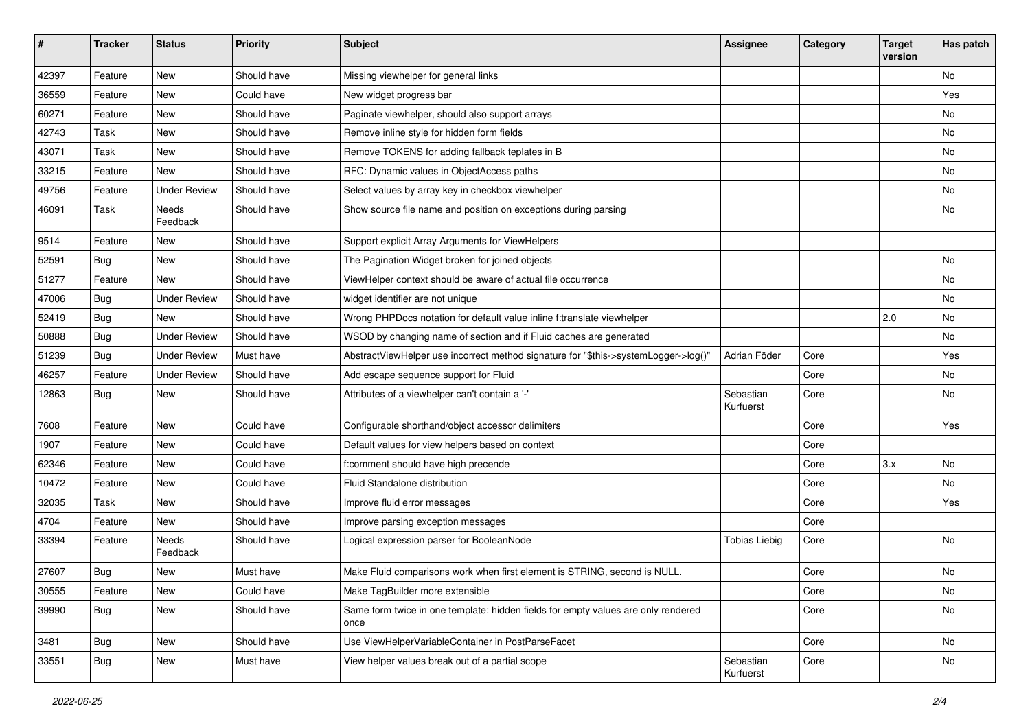| #     | <b>Tracker</b> | <b>Status</b>       | <b>Priority</b> | <b>Subject</b>                                                                            | <b>Assignee</b>        | Category | <b>Target</b><br>version | Has patch |
|-------|----------------|---------------------|-----------------|-------------------------------------------------------------------------------------------|------------------------|----------|--------------------------|-----------|
| 42397 | Feature        | New                 | Should have     | Missing viewhelper for general links                                                      |                        |          |                          | <b>No</b> |
| 36559 | Feature        | New                 | Could have      | New widget progress bar                                                                   |                        |          |                          | Yes       |
| 60271 | Feature        | New                 | Should have     | Paginate viewhelper, should also support arrays                                           |                        |          |                          | No        |
| 42743 | Task           | New                 | Should have     | Remove inline style for hidden form fields                                                |                        |          |                          | No        |
| 43071 | Task           | New                 | Should have     | Remove TOKENS for adding fallback teplates in B                                           |                        |          |                          | No        |
| 33215 | Feature        | New                 | Should have     | RFC: Dynamic values in ObjectAccess paths                                                 |                        |          |                          | No        |
| 49756 | Feature        | <b>Under Review</b> | Should have     | Select values by array key in checkbox viewhelper                                         |                        |          |                          | No        |
| 46091 | Task           | Needs<br>Feedback   | Should have     | Show source file name and position on exceptions during parsing                           |                        |          |                          | No        |
| 9514  | Feature        | New                 | Should have     | Support explicit Array Arguments for ViewHelpers                                          |                        |          |                          |           |
| 52591 | Bug            | New                 | Should have     | The Pagination Widget broken for joined objects                                           |                        |          |                          | No        |
| 51277 | Feature        | New                 | Should have     | ViewHelper context should be aware of actual file occurrence                              |                        |          |                          | No        |
| 47006 | Bug            | <b>Under Review</b> | Should have     | widget identifier are not unique                                                          |                        |          |                          | No        |
| 52419 | Bug            | New                 | Should have     | Wrong PHPDocs notation for default value inline f:translate viewhelper                    |                        |          | 2.0                      | No        |
| 50888 | Bug            | <b>Under Review</b> | Should have     | WSOD by changing name of section and if Fluid caches are generated                        |                        |          |                          | No        |
| 51239 | Bug            | <b>Under Review</b> | Must have       | AbstractViewHelper use incorrect method signature for "\$this->systemLogger->log()"       | Adrian Föder           | Core     |                          | Yes       |
| 46257 | Feature        | <b>Under Review</b> | Should have     | Add escape sequence support for Fluid                                                     |                        | Core     |                          | No        |
| 12863 | Bug            | New                 | Should have     | Attributes of a viewhelper can't contain a '-'                                            | Sebastian<br>Kurfuerst | Core     |                          | No        |
| 7608  | Feature        | New                 | Could have      | Configurable shorthand/object accessor delimiters                                         |                        | Core     |                          | Yes       |
| 1907  | Feature        | New                 | Could have      | Default values for view helpers based on context                                          |                        | Core     |                          |           |
| 62346 | Feature        | New                 | Could have      | f:comment should have high precende                                                       |                        | Core     | 3.x                      | No        |
| 10472 | Feature        | New                 | Could have      | Fluid Standalone distribution                                                             |                        | Core     |                          | No        |
| 32035 | Task           | New                 | Should have     | Improve fluid error messages                                                              |                        | Core     |                          | Yes       |
| 4704  | Feature        | New                 | Should have     | Improve parsing exception messages                                                        |                        | Core     |                          |           |
| 33394 | Feature        | Needs<br>Feedback   | Should have     | Logical expression parser for BooleanNode                                                 | <b>Tobias Liebig</b>   | Core     |                          | <b>No</b> |
| 27607 | Bug            | New                 | Must have       | Make Fluid comparisons work when first element is STRING, second is NULL.                 |                        | Core     |                          | No        |
| 30555 | Feature        | New                 | Could have      | Make TagBuilder more extensible                                                           |                        | Core     |                          | No        |
| 39990 | <b>Bug</b>     | New                 | Should have     | Same form twice in one template: hidden fields for empty values are only rendered<br>once |                        | Core     |                          | No        |
| 3481  | <b>Bug</b>     | New                 | Should have     | Use ViewHelperVariableContainer in PostParseFacet                                         |                        | Core     |                          | No        |
| 33551 | <b>Bug</b>     | New                 | Must have       | View helper values break out of a partial scope                                           | Sebastian<br>Kurfuerst | Core     |                          | No        |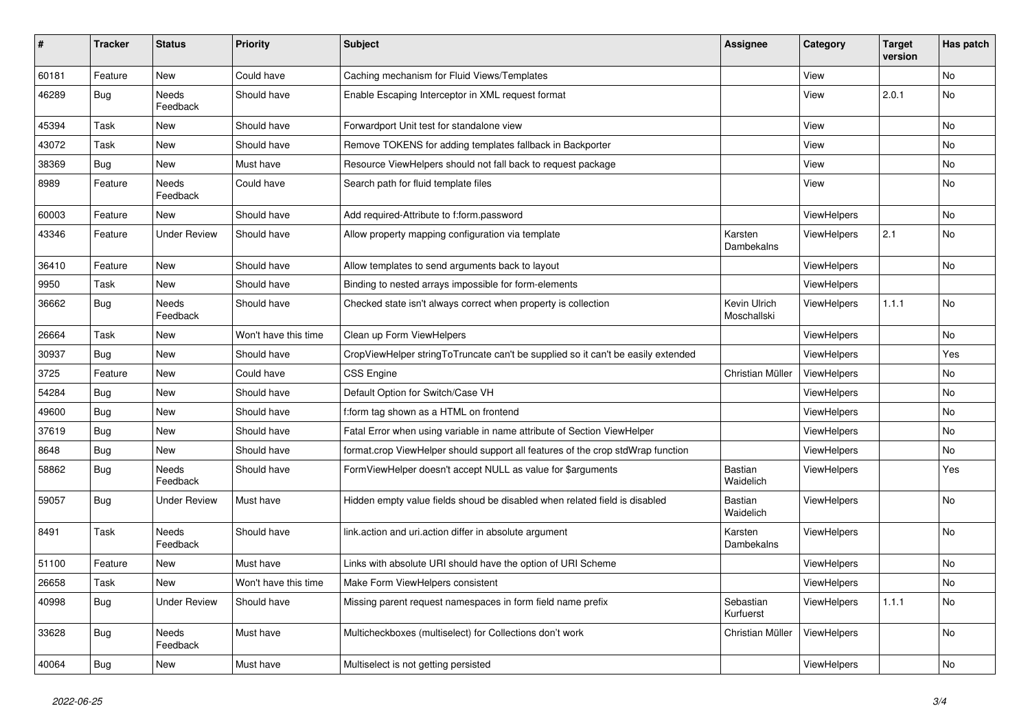| $\vert$ # | <b>Tracker</b> | <b>Status</b>       | <b>Priority</b>      | <b>Subject</b>                                                                   | <b>Assignee</b>             | Category           | <b>Target</b><br>version | Has patch |
|-----------|----------------|---------------------|----------------------|----------------------------------------------------------------------------------|-----------------------------|--------------------|--------------------------|-----------|
| 60181     | Feature        | <b>New</b>          | Could have           | Caching mechanism for Fluid Views/Templates                                      |                             | View               |                          | <b>No</b> |
| 46289     | <b>Bug</b>     | Needs<br>Feedback   | Should have          | Enable Escaping Interceptor in XML request format                                |                             | View               | 2.0.1                    | <b>No</b> |
| 45394     | Task           | New                 | Should have          | Forwardport Unit test for standalone view                                        |                             | View               |                          | <b>No</b> |
| 43072     | Task           | New                 | Should have          | Remove TOKENS for adding templates fallback in Backporter                        |                             | View               |                          | <b>No</b> |
| 38369     | <b>Bug</b>     | New                 | Must have            | Resource ViewHelpers should not fall back to request package                     |                             | View               |                          | No        |
| 8989      | Feature        | Needs<br>Feedback   | Could have           | Search path for fluid template files                                             |                             | View               |                          | No        |
| 60003     | Feature        | New                 | Should have          | Add required-Attribute to f:form.password                                        |                             | <b>ViewHelpers</b> |                          | No        |
| 43346     | Feature        | <b>Under Review</b> | Should have          | Allow property mapping configuration via template                                | Karsten<br>Dambekalns       | <b>ViewHelpers</b> | 2.1                      | No        |
| 36410     | Feature        | New                 | Should have          | Allow templates to send arguments back to layout                                 |                             | ViewHelpers        |                          | <b>No</b> |
| 9950      | Task           | New                 | Should have          | Binding to nested arrays impossible for form-elements                            |                             | ViewHelpers        |                          |           |
| 36662     | <b>Bug</b>     | Needs<br>Feedback   | Should have          | Checked state isn't always correct when property is collection                   | Kevin Ulrich<br>Moschallski | <b>ViewHelpers</b> | 1.1.1                    | <b>No</b> |
| 26664     | Task           | New                 | Won't have this time | Clean up Form ViewHelpers                                                        |                             | ViewHelpers        |                          | No        |
| 30937     | Bug            | New                 | Should have          | CropViewHelper stringToTruncate can't be supplied so it can't be easily extended |                             | ViewHelpers        |                          | Yes       |
| 3725      | Feature        | New                 | Could have           | <b>CSS Engine</b>                                                                | Christian Müller            | ViewHelpers        |                          | No        |
| 54284     | Bug            | New                 | Should have          | Default Option for Switch/Case VH                                                |                             | <b>ViewHelpers</b> |                          | <b>No</b> |
| 49600     | <b>Bug</b>     | New                 | Should have          | f:form tag shown as a HTML on frontend                                           |                             | <b>ViewHelpers</b> |                          | No        |
| 37619     | <b>Bug</b>     | New                 | Should have          | Fatal Error when using variable in name attribute of Section ViewHelper          |                             | <b>ViewHelpers</b> |                          | No        |
| 8648      | Bug            | New                 | Should have          | format.crop ViewHelper should support all features of the crop stdWrap function  |                             | <b>ViewHelpers</b> |                          | No        |
| 58862     | Bug            | Needs<br>Feedback   | Should have          | FormViewHelper doesn't accept NULL as value for \$arguments                      | <b>Bastian</b><br>Waidelich | ViewHelpers        |                          | Yes       |
| 59057     | Bug            | Under Review        | Must have            | Hidden empty value fields shoud be disabled when related field is disabled       | <b>Bastian</b><br>Waidelich | <b>ViewHelpers</b> |                          | No        |
| 8491      | Task           | Needs<br>Feedback   | Should have          | link.action and uri.action differ in absolute argument                           | Karsten<br>Dambekalns       | <b>ViewHelpers</b> |                          | <b>No</b> |
| 51100     | Feature        | New                 | Must have            | Links with absolute URI should have the option of URI Scheme                     |                             | ViewHelpers        |                          | No        |
| 26658     | Task           | New                 | Won't have this time | Make Form ViewHelpers consistent                                                 |                             | ViewHelpers        |                          | No        |
| 40998     | Bug            | <b>Under Review</b> | Should have          | Missing parent request namespaces in form field name prefix                      | Sebastian<br>Kurfuerst      | <b>ViewHelpers</b> | 1.1.1                    | No        |
| 33628     | Bug            | Needs<br>Feedback   | Must have            | Multicheckboxes (multiselect) for Collections don't work                         | Christian Müller            | <b>ViewHelpers</b> |                          | <b>No</b> |
| 40064     | Bug            | New                 | Must have            | Multiselect is not getting persisted                                             |                             | ViewHelpers        |                          | No        |